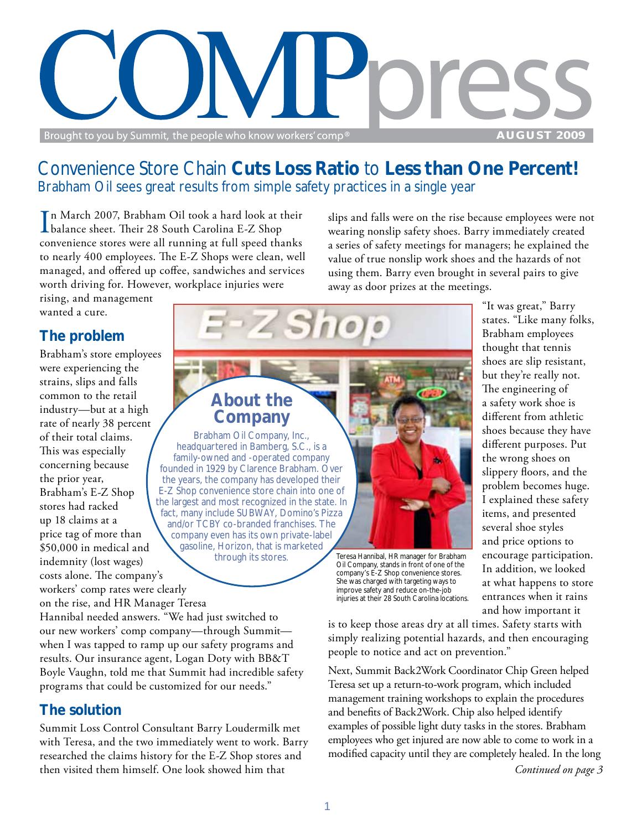

### Convenience Store Chain **Cuts Loss Ratio** to **Less than One Percent!** Brabham Oil sees great results from simple safety practices in a single year

In March 2007, Brabham Oil took a hard look at their<br>Ibalance sheet. Their 28 South Carolina E-Z Shop balance sheet. Their 28 South Carolina E-Z Shop convenience stores were all running at full speed thanks to nearly 400 employees. The E-Z Shops were clean, well managed, and offered up coffee, sandwiches and services worth driving for. However, workplace injuries were

slips and falls were on the rise because employees were not wearing nonslip safety shoes. Barry immediately created a series of safety meetings for managers; he explained the value of true nonslip work shoes and the hazards of not using them. Barry even brought in several pairs to give away as door prizes at the meetings.

> "It was great," Barry states. "Like many folks, Brabham employees thought that tennis shoes are slip resistant, but they're really not. The engineering of a safety work shoe is different from athletic shoes because they have different purposes. Put the wrong shoes on slippery floors, and the problem becomes huge. I explained these safety items, and presented several shoe styles and price options to encourage participation. In addition, we looked at what happens to store entrances when it rains and how important it

rising, and management wanted a cure.

### **The problem**

Brabham's store employees were experiencing the strains, slips and falls common to the retail industry—but at a high rate of nearly 38 percent of their total claims. This was especially concerning because the prior year, Brabham's E-Z Shop stores had racked up 18 claims at a price tag of more than \$50,000 in medical and indemnity (lost wages) costs alone. The company's workers' comp rates were clearly on the rise, and HR Manager Teresa



Teresa Hannibal, HR manager for Brabham Oil Company, stands in front of one of the company's E-Z Shop convenience stores. She was charged with targeting ways to improve safety and reduce on-the-job injuries at their 28 South Carolina locations.

Hannibal needed answers. "We had just switched to our new workers' comp company—through Summit when I was tapped to ramp up our safety programs and results. Our insurance agent, Logan Doty with BB&T Boyle Vaughn, told me that Summit had incredible safety programs that could be customized for our needs."

### **The solution**

Summit Loss Control Consultant Barry Loudermilk met with Teresa, and the two immediately went to work. Barry researched the claims history for the E-Z Shop stores and then visited them himself. One look showed him that

is to keep those areas dry at all times. Safety starts with simply realizing potential hazards, and then encouraging people to notice and act on prevention."

Next, Summit Back2Work Coordinator Chip Green helped Teresa set up a return-to-work program, which included management training workshops to explain the procedures and benefits of Back2Work. Chip also helped identify examples of possible light duty tasks in the stores. Brabham employees who get injured are now able to come to work in a modified capacity until they are completely healed. In the long

*Continued on page 3*

gasoline, Horizon, that is marketed through its stores.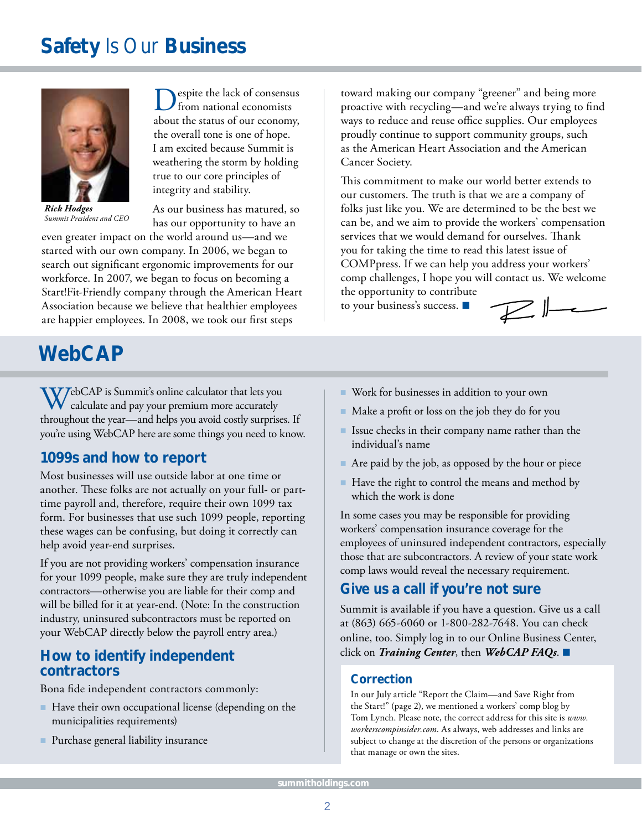## **Safety** Is Our **Business**



*Rick Hodges Summit President and CEO*

Despite the lack of consensus from national economists about the status of our economy, the overall tone is one of hope. I am excited because Summit is weathering the storm by holding true to our core principles of integrity and stability.

As our business has matured, so has our opportunity to have an

even greater impact on the world around us—and we started with our own company. In 2006, we began to search out significant ergonomic improvements for our workforce. In 2007, we began to focus on becoming a Start!Fit-Friendly company through the American Heart Association because we believe that healthier employees are happier employees. In 2008, we took our first steps

## **WebCAP**

WebCAP is Summit's online calculator that lets you calculate and pay your premium more accurately throughout the year—and helps you avoid costly surprises. If you're using WebCAP here are some things you need to know.

#### **1099s and how to report**

Most businesses will use outside labor at one time or another. These folks are not actually on your full- or parttime payroll and, therefore, require their own 1099 tax form. For businesses that use such 1099 people, reporting these wages can be confusing, but doing it correctly can help avoid year-end surprises.

If you are not providing workers' compensation insurance for your 1099 people, make sure they are truly independent contractors—otherwise you are liable for their comp and will be billed for it at year-end. (Note: In the construction industry, uninsured subcontractors must be reported on your WebCAP directly below the payroll entry area.)

#### **How to identify independent contractors**

Bona fide independent contractors commonly:

- Have their own occupational license (depending on the municipalities requirements)
- Purchase general liability insurance

toward making our company "greener" and being more proactive with recycling—and we're always trying to find ways to reduce and reuse office supplies. Our employees proudly continue to support community groups, such as the American Heart Association and the American Cancer Society.

This commitment to make our world better extends to our customers. The truth is that we are a company of folks just like you. We are determined to be the best we can be, and we aim to provide the workers' compensation services that we would demand for ourselves. Thank you for taking the time to read this latest issue of COMPpress. If we can help you address your workers' comp challenges, I hope you will contact us. We welcome the opportunity to contribute

 $\n *l*$ 

to your business's success.

- Work for businesses in addition to your own
- $\blacksquare$  Make a profit or loss on the job they do for you
- $\blacksquare$  Issue checks in their company name rather than the individual's name
- Are paid by the job, as opposed by the hour or piece
- $\blacksquare$  Have the right to control the means and method by which the work is done

In some cases you may be responsible for providing workers' compensation insurance coverage for the employees of uninsured independent contractors, especially those that are subcontractors. A review of your state work comp laws would reveal the necessary requirement.

#### **Give us a call if you're not sure**

Summit is available if you have a question. Give us a call at (863) 665-6060 or 1-800-282-7648. You can check online, too. Simply log in to our Online Business Center, click on *Training Center*, then *WebCAP FAQs*.

#### **Correction**

In our July article "Report the Claim—and Save Right from the Start!" (page 2), we mentioned a workers' comp blog by Tom Lynch. Please note, the correct address for this site is *www. workerscompinsider.com*. As always, web addresses and links are subject to change at the discretion of the persons or organizations that manage or own the sites.

*www.summitholdings.com*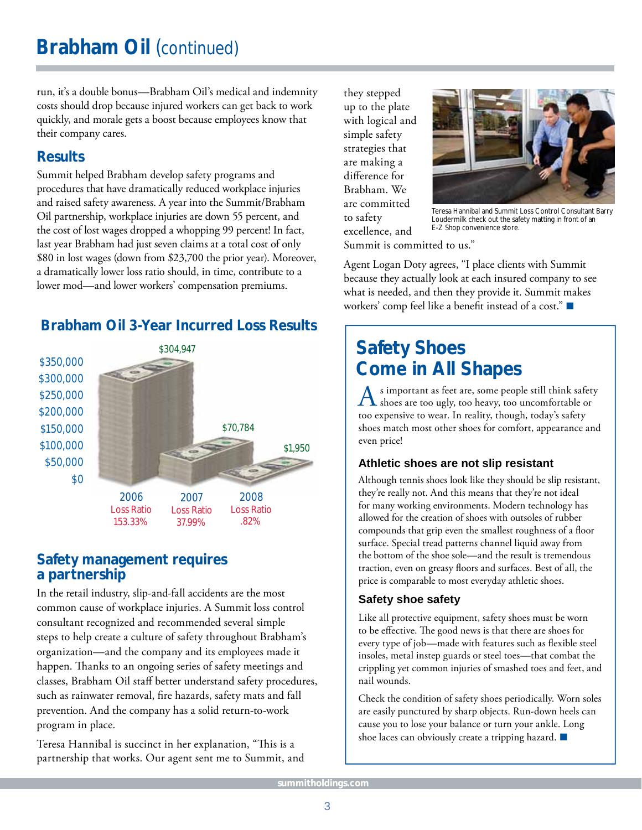run, it's a double bonus—Brabham Oil's medical and indemnity costs should drop because injured workers can get back to work quickly, and morale gets a boost because employees know that their company cares.

### **Results**

Summit helped Brabham develop safety programs and procedures that have dramatically reduced workplace injuries and raised safety awareness. A year into the Summit/Brabham Oil partnership, workplace injuries are down 55 percent, and the cost of lost wages dropped a whopping 99 percent! In fact, last year Brabham had just seven claims at a total cost of only \$80 in lost wages (down from \$23,700 the prior year). Moreover, a dramatically lower loss ratio should, in time, contribute to a lower mod—and lower workers' compensation premiums.

### **Brabham Oil 3-Year Incurred Loss Results**



#### **Safety management requires a partnership**

In the retail industry, slip-and-fall accidents are the most common cause of workplace injuries. A Summit loss control consultant recognized and recommended several simple steps to help create a culture of safety throughout Brabham's organization—and the company and its employees made it happen. Thanks to an ongoing series of safety meetings and classes, Brabham Oil staff better understand safety procedures, such as rainwater removal, fire hazards, safety mats and fall prevention. And the company has a solid return-to-work program in place.

Teresa Hannibal is succinct in her explanation, "This is a partnership that works. Our agent sent me to Summit, and they stepped up to the plate with logical and simple safety strategies that are making a difference for Brabham. We are committed to safety excellence, and



Teresa Hannibal and Summit Loss Control Consultant Barry Loudermilk check out the safety matting in front of an E-Z Shop convenience store.

Summit is committed to us."

Agent Logan Doty agrees, "I place clients with Summit because they actually look at each insured company to see what is needed, and then they provide it. Summit makes workers' comp feel like a benefit instead of a cost."  $\blacksquare$ 

### **Safety Shoes Come in All Shapes**

A s important as feet are, some people still think safety<br>
shoes are too ugly, too heavy, too uncomfortable or too expensive to wear. In reality, though, today's safety shoes match most other shoes for comfort, appearance and even price!

#### **Athletic shoes are not slip resistant**

Although tennis shoes look like they should be slip resistant, they're really not. And this means that they're not ideal for many working environments. Modern technology has allowed for the creation of shoes with outsoles of rubber compounds that grip even the smallest roughness of a floor surface. Special tread patterns channel liquid away from the bottom of the shoe sole—and the result is tremendous traction, even on greasy floors and surfaces. Best of all, the price is comparable to most everyday athletic shoes.

#### **Safety shoe safety**

Like all protective equipment, safety shoes must be worn to be effective. The good news is that there are shoes for every type of job—made with features such as flexible steel insoles, metal instep guards or steel toes—that combat the crippling yet common injuries of smashed toes and feet, and nail wounds.

Check the condition of safety shoes periodically. Worn soles are easily punctured by sharp objects. Run-down heels can cause you to lose your balance or turn your ankle. Long shoe laces can obviously create a tripping hazard.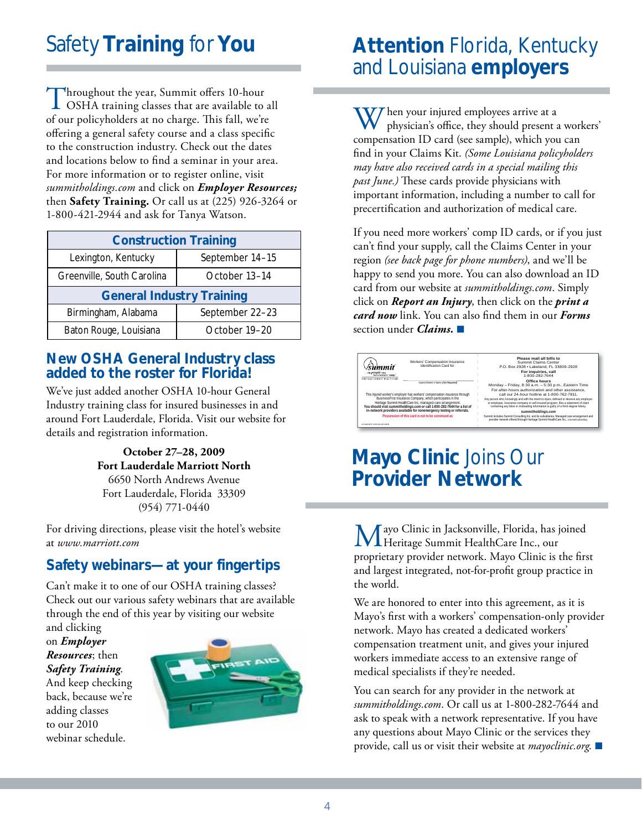# Safety **Training** for **You**

Throughout the year, Summit offers 10-hour<br>OSHA training classes that are available to all of our policyholders at no charge. This fall, we're offering a general safety course and a class specific to the construction industry. Check out the dates and locations below to find a seminar in your area. For more information or to register online, visit *summitholdings.com* and click on *Employer Resources;* then **Safety Training.** Or call us at (225) 926-3264 or 1-800-421-2944 and ask for Tanya Watson.

| <b>Construction Training</b>     |                 |
|----------------------------------|-----------------|
| Lexington, Kentucky              | September 14-15 |
| Greenville, South Carolina       | October 13-14   |
| <b>General Industry Training</b> |                 |
| Birmingham, Alabama              | September 22-23 |
| Baton Rouge, Louisiana           | October 19-20   |

#### **New OSHA General Industry class added to the roster for Florida!**

We've just added another OSHA 10-hour General Industry training class for insured businesses in and around Fort Lauderdale, Florida. Visit our website for details and registration information.

> **October 27–28, 2009 Fort Lauderdale Marriott North** 6650 North Andrews Avenue Fort Lauderdale, Florida 33309 (954) 771-0440

For driving directions, please visit the hotel's website at *www.marriott.com*

### **Safety webinars—at your fingertips**

Can't make it to one of our OSHA training classes? Check out our various safety webinars that are available through the end of this year by visiting our website

and clicking on *Employer Resources*; then *Safety Training*. And keep checking back, because we're adding classes to our 2010 webinar schedule.



## **Attention** Florida, Kentucky and Louisiana **employers**

Then your injured employees arrive at a physician's office, they should present a workers' compensation ID card (see sample), which you can find in your Claims Kit. (Some Louisiana policyholders *may have also received cards in a special mailing this past June.)* These cards provide physicians with important information, including a number to call for precertification and authorization of medical care.

If you need more workers' comp ID cards, or if you just can't find your supply, call the Claims Center in your region *(see back page for phone numbers)*, and we'll be happy to send you more. You can also download an ID card from our website at *summitholdings.com*. Simply click on *Report an Injury*, then click on the *print a card now* link. You can also find them in our *Forms* section under *Claims.* 



### **Mayo Clinic** Joins Our **Provider Network**

Mayo Clinic in Jacksonville, Florida, has joined Heritage Summit HealthCare Inc., our proprietary provider network. Mayo Clinic is the first and largest integrated, not-for-profit group practice in the world.

We are honored to enter into this agreement, as it is Mayo's first with a workers' compensation-only provider network. Mayo has created a dedicated workers' compensation treatment unit, and gives your injured workers immediate access to an extensive range of medical specialists if they're needed.

You can search for any provider in the network at *summitholdings.com*. Or call us at 1-800-282-7644 and ask to speak with a network representative. If you have any questions about Mayo Clinic or the services they provide, call us or visit their website at *mayoclinic.org*.